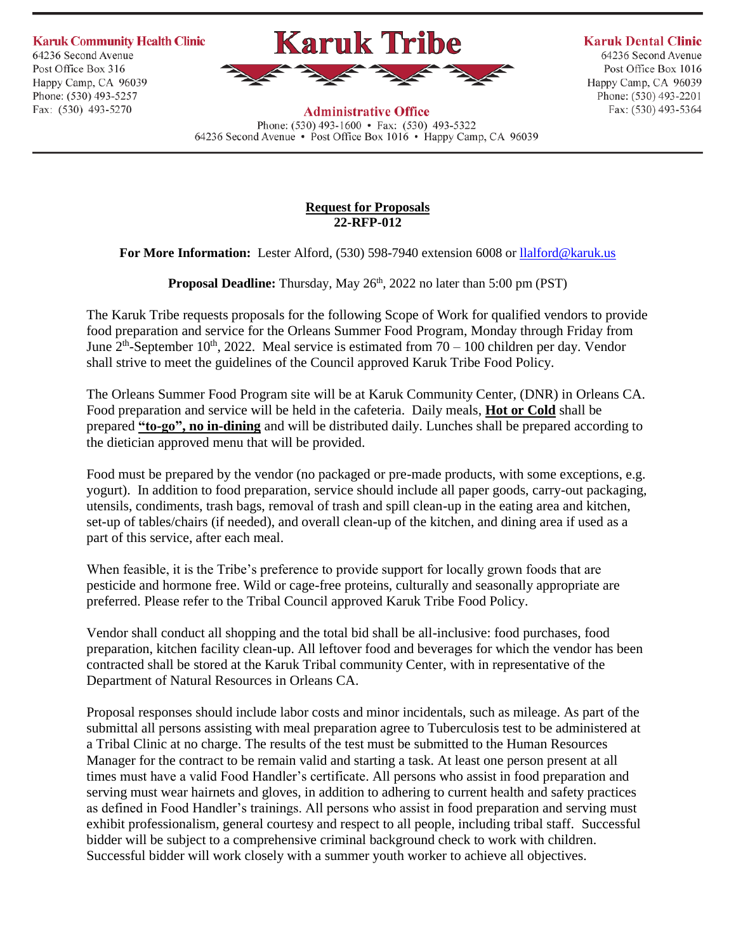**Karuk Community Health Clinic** 

64236 Second Avenue Post Office Box 316 Happy Camp, CA 96039 Phone: (530) 493-5257 Fax: (530) 493-5270



**Karuk Dental Clinic** 

64236 Second Avenue Post Office Box 1016 Happy Camp, CA 96039 Phone: (530) 493-2201 Fax: (530) 493-5364

**Administrative Office** Phone:  $(530)$  493-1600 • Fax:  $(530)$  493-5322 64236 Second Avenue • Post Office Box 1016 • Happy Camp, CA 96039

#### **Request for Proposals 22-RFP-012**

**For More Information:** Lester Alford, (530) 598-7940 extension 6008 or [llalford@karuk.us](mailto:llalford@karuk.us)

**Proposal Deadline:** Thursday, May 26<sup>th</sup>, 2022 no later than 5:00 pm (PST)

The Karuk Tribe requests proposals for the following Scope of Work for qualified vendors to provide food preparation and service for the Orleans Summer Food Program, Monday through Friday from June  $2^{th}$ -September 10<sup>th</sup>, 2022. Meal service is estimated from 70 – 100 children per day. Vendor shall strive to meet the guidelines of the Council approved Karuk Tribe Food Policy.

The Orleans Summer Food Program site will be at Karuk Community Center, (DNR) in Orleans CA. Food preparation and service will be held in the cafeteria. Daily meals, **Hot or Cold** shall be prepared **"to-go", no in-dining** and will be distributed daily. Lunches shall be prepared according to the dietician approved menu that will be provided.

Food must be prepared by the vendor (no packaged or pre-made products, with some exceptions, e.g. yogurt). In addition to food preparation, service should include all paper goods, carry-out packaging, utensils, condiments, trash bags, removal of trash and spill clean-up in the eating area and kitchen, set-up of tables/chairs (if needed), and overall clean-up of the kitchen, and dining area if used as a part of this service, after each meal.

When feasible, it is the Tribe's preference to provide support for locally grown foods that are pesticide and hormone free. Wild or cage-free proteins, culturally and seasonally appropriate are preferred. Please refer to the Tribal Council approved Karuk Tribe Food Policy.

Vendor shall conduct all shopping and the total bid shall be all-inclusive: food purchases, food preparation, kitchen facility clean-up. All leftover food and beverages for which the vendor has been contracted shall be stored at the Karuk Tribal community Center, with in representative of the Department of Natural Resources in Orleans CA.

Proposal responses should include labor costs and minor incidentals, such as mileage. As part of the submittal all persons assisting with meal preparation agree to Tuberculosis test to be administered at a Tribal Clinic at no charge. The results of the test must be submitted to the Human Resources Manager for the contract to be remain valid and starting a task. At least one person present at all times must have a valid Food Handler's certificate. All persons who assist in food preparation and serving must wear hairnets and gloves, in addition to adhering to current health and safety practices as defined in Food Handler's trainings. All persons who assist in food preparation and serving must exhibit professionalism, general courtesy and respect to all people, including tribal staff. Successful bidder will be subject to a comprehensive criminal background check to work with children. Successful bidder will work closely with a summer youth worker to achieve all objectives.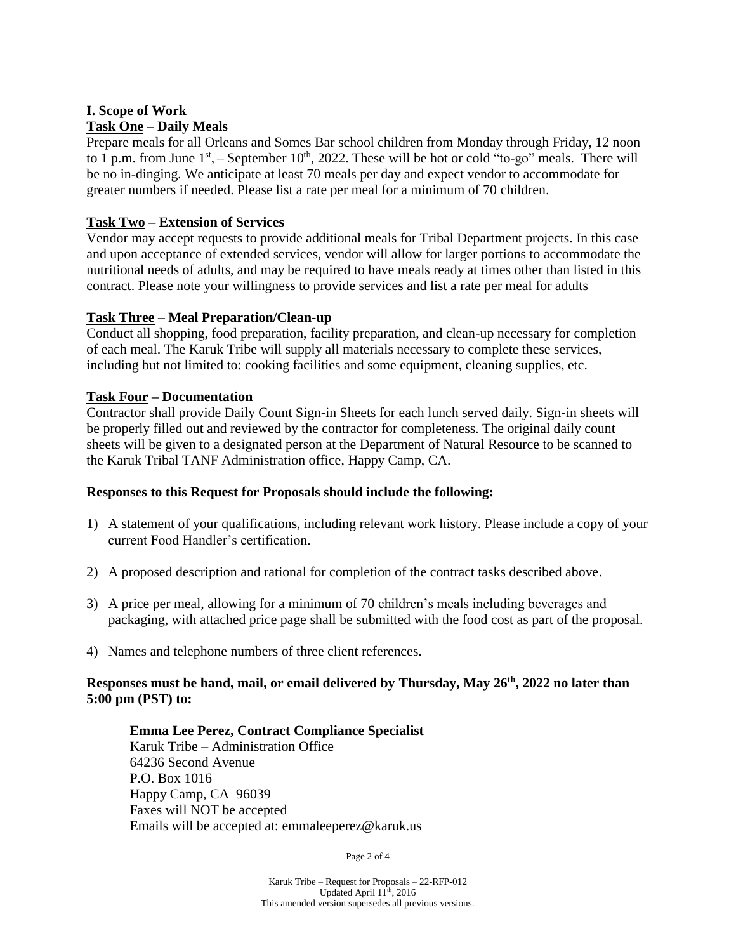# **I. Scope of Work Task One – Daily Meals**

Prepare meals for all Orleans and Somes Bar school children from Monday through Friday, 12 noon to 1 p.m. from June  $1<sup>st</sup>$ , – September  $10<sup>th</sup>$ , 2022. These will be hot or cold "to-go" meals. There will be no in-dinging. We anticipate at least 70 meals per day and expect vendor to accommodate for greater numbers if needed. Please list a rate per meal for a minimum of 70 children.

## **Task Two – Extension of Services**

Vendor may accept requests to provide additional meals for Tribal Department projects. In this case and upon acceptance of extended services, vendor will allow for larger portions to accommodate the nutritional needs of adults, and may be required to have meals ready at times other than listed in this contract. Please note your willingness to provide services and list a rate per meal for adults

## **Task Three – Meal Preparation/Clean-up**

Conduct all shopping, food preparation, facility preparation, and clean-up necessary for completion of each meal. The Karuk Tribe will supply all materials necessary to complete these services, including but not limited to: cooking facilities and some equipment, cleaning supplies, etc.

## **Task Four – Documentation**

Contractor shall provide Daily Count Sign-in Sheets for each lunch served daily. Sign-in sheets will be properly filled out and reviewed by the contractor for completeness. The original daily count sheets will be given to a designated person at the Department of Natural Resource to be scanned to the Karuk Tribal TANF Administration office, Happy Camp, CA.

## **Responses to this Request for Proposals should include the following:**

- 1) A statement of your qualifications, including relevant work history. Please include a copy of your current Food Handler's certification.
- 2) A proposed description and rational for completion of the contract tasks described above.
- 3) A price per meal, allowing for a minimum of 70 children's meals including beverages and packaging, with attached price page shall be submitted with the food cost as part of the proposal.
- 4) Names and telephone numbers of three client references.

## **Responses must be hand, mail, or email delivered by Thursday, May 26th , 2022 no later than 5:00 pm (PST) to:**

#### **Emma Lee Perez, Contract Compliance Specialist** Karuk Tribe – Administration Office 64236 Second Avenue P.O. Box 1016 Happy Camp, CA 96039 Faxes will NOT be accepted Emails will be accepted at: emmaleeperez@karuk.us

Page 2 of 4

Karuk Tribe – Request for Proposals – 22-RFP-012 Updated April  $11^{\text{th}}$ , 2016 This amended version supersedes all previous versions.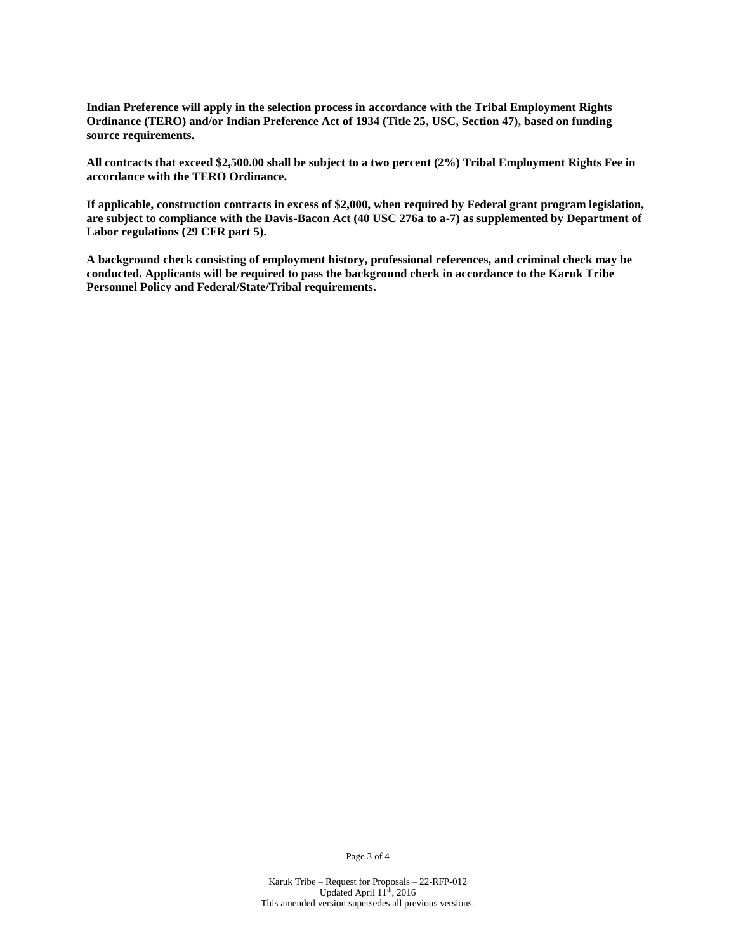**Indian Preference will apply in the selection process in accordance with the Tribal Employment Rights Ordinance (TERO) and/or Indian Preference Act of 1934 (Title 25, USC, Section 47), based on funding source requirements.**

**All contracts that exceed \$2,500.00 shall be subject to a two percent (2%) Tribal Employment Rights Fee in accordance with the TERO Ordinance.**

**If applicable, construction contracts in excess of \$2,000, when required by Federal grant program legislation, are subject to compliance with the Davis-Bacon Act (40 USC 276a to a-7) as supplemented by Department of Labor regulations (29 CFR part 5).**

**A background check consisting of employment history, professional references, and criminal check may be conducted. Applicants will be required to pass the background check in accordance to the Karuk Tribe Personnel Policy and Federal/State/Tribal requirements.**

Page 3 of 4

Karuk Tribe – Request for Proposals – 22-RFP-012 Updated April 11<sup>th</sup>, 2016 This amended version supersedes all previous versions.